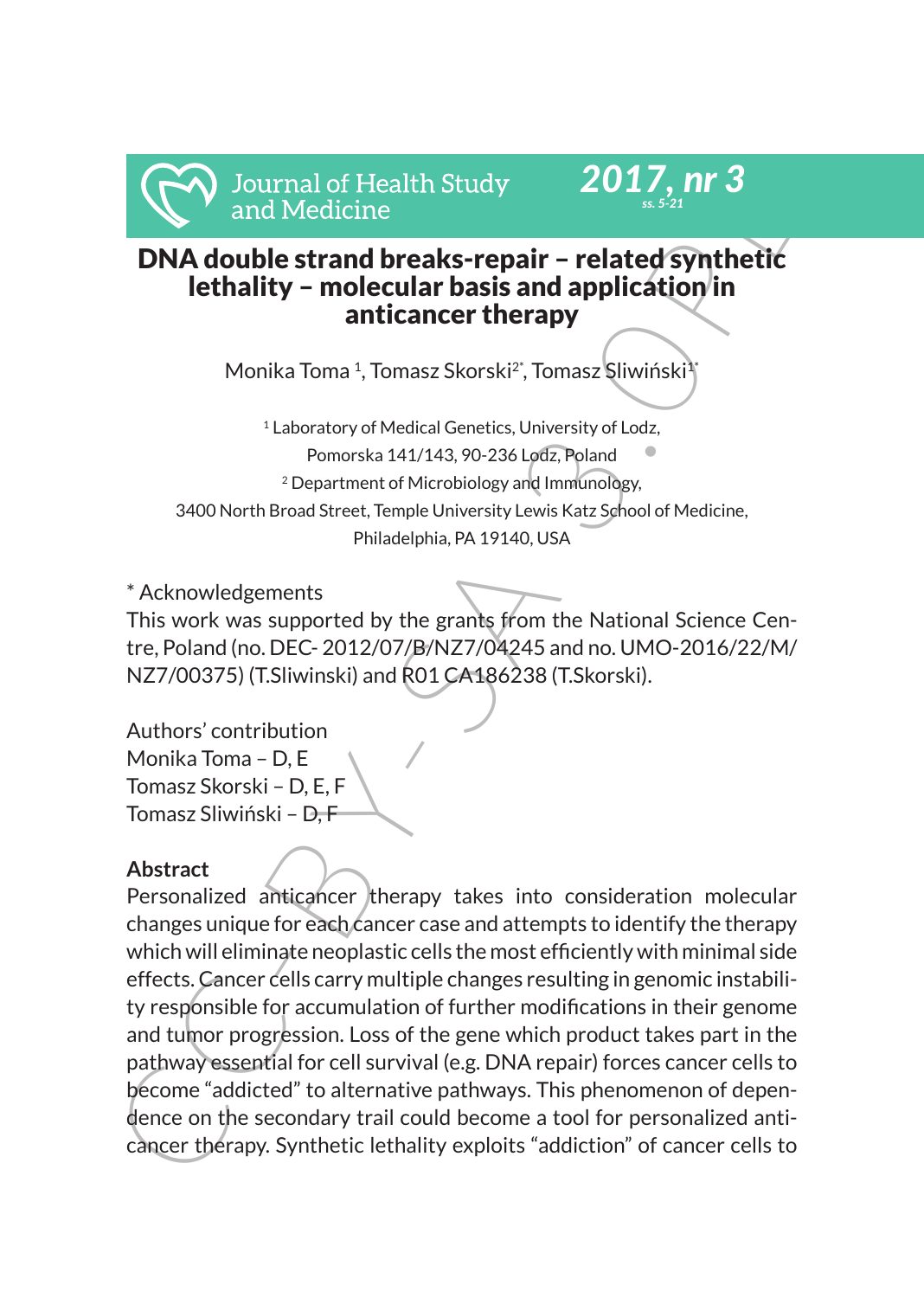



# DNA double strand breaks-repair – related synthetic lethality – molecular basis and application in anticancer therapy

Monika Toma <sup>1</sup>, Tomasz Skorski<sup>2\*</sup>, Tomasz Sliwiński<sup>1</sup>

1 Laboratory of Medical Genetics, University of Lodz, Pomorska 141/143, 90-236 Lodz, Poland 2 Department of Microbiology and Immunology, 3400 North Broad Street, Temple University Lewis Katz School of Medicine, Philadelphia, PA 19140, USA

\* Acknowledgements

This work was supported by the grants from the National Science Centre, Poland (no. DEC- 2012/07/B/NZ7/04245 and no. UMO-2016/22/M/ NZ7/00375) (T.Sliwinski) and R01 CA186238 (T.Skorski).

Authors' contribution Monika Toma – D, E Tomasz Skorski – D, E, F Tomasz Sliwiński – D. F

# **Abstract**

Journal of Health Study<br>
2017, nr 3<br>
and Medicine<br>
IDNA double strand breaks-repair – related synthetic<br>
lethality – molecular basis and application in<br>
anticancer therapy<br>
Monika Toma <sup>1</sup>, Tomasz Skorski<sup>2</sup>, Tomasz Sliwiń Personalized anticancer therapy takes into consideration molecular changes unique for each cancer case and attempts to identify the therapy which will eliminate neoplastic cells the most efficiently with minimal side effects. Cancer cells carry multiple changes resulting in genomic instability responsible for accumulation of further modifications in their genome and tumor progression. Loss of the gene which product takes part in the pathway essential for cell survival (e.g. DNA repair) forces cancer cells to become "addicted" to alternative pathways. This phenomenon of dependence on the secondary trail could become a tool for personalized anticancer therapy. Synthetic lethality exploits "addiction" of cancer cells to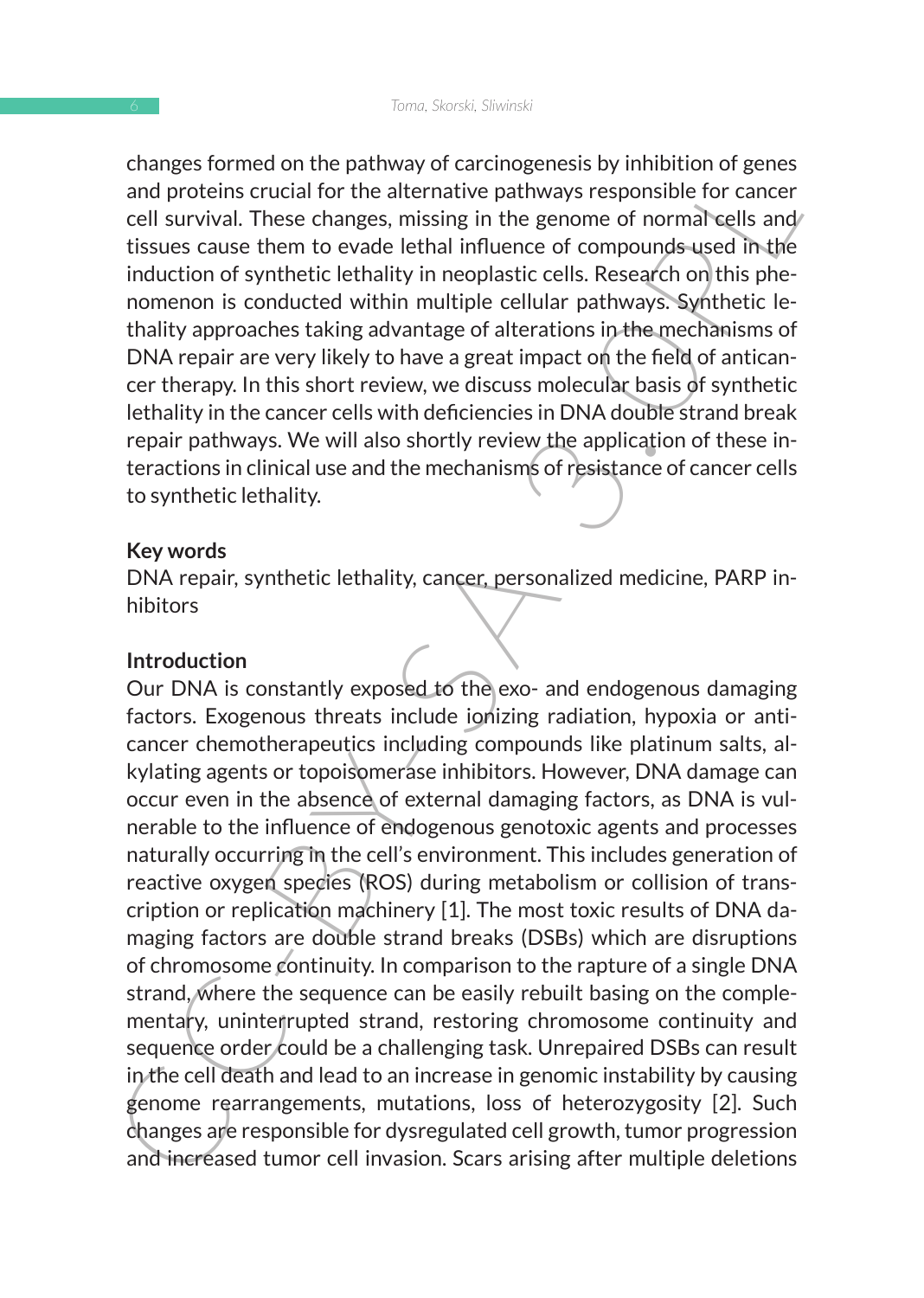changes formed on the pathway of carcinogenesis by inhibition of genes and proteins crucial for the alternative pathways responsible for cancer cell survival. These changes, missing in the genome of normal cells and tissues cause them to evade lethal influence of compounds used in the induction of synthetic lethality in neoplastic cells. Research on this phenomenon is conducted within multiple cellular pathways. Synthetic lethality approaches taking advantage of alterations in the mechanisms of DNA repair are very likely to have a great impact on the field of anticancer therapy. In this short review, we discuss molecular basis of synthetic lethality in the cancer cells with deficiencies in DNA double strand break repair pathways. We will also shortly review the application of these interactions in clinical use and the mechanisms of resistance of cancer cells to synthetic lethality.

#### **Key words**

DNA repair, synthetic lethality, cancer, personalized medicine, PARP inhibitors

#### **Introduction**

Cange someon of paramog of cartingentes by imminion of geness<br>and proteins crucial for the alternative pathways responsible for cancer<br>cell survival. These changes, missing in the genome of oromatogells and<br>insuces cause t Our DNA is constantly exposed to the exo- and endogenous damaging factors. Exogenous threats include ionizing radiation, hypoxia or anticancer chemotherapeutics including compounds like platinum salts, alkylating agents or topoisomerase inhibitors. However, DNA damage can occur even in the absence of external damaging factors, as DNA is vulnerable to the influence of endogenous genotoxic agents and processes naturally occurring in the cell's environment. This includes generation of reactive oxygen species (ROS) during metabolism or collision of transcription or replication machinery [1]. The most toxic results of DNA damaging factors are double strand breaks (DSBs) which are disruptions of chromosome continuity. In comparison to the rapture of a single DNA strand, where the sequence can be easily rebuilt basing on the complementary, uninter rupted strand, restoring chromosome continuity and sequence order could be a challenging task. Unrepaired DSBs can result in the cell death and lead to an increase in genomic instability by causing genome rearrangements, mutations, loss of heterozygosity [2]. Such changes are responsible for dysregulated cell growth, tumor progression and increased tumor cell invasion. Scars arising after multiple deletions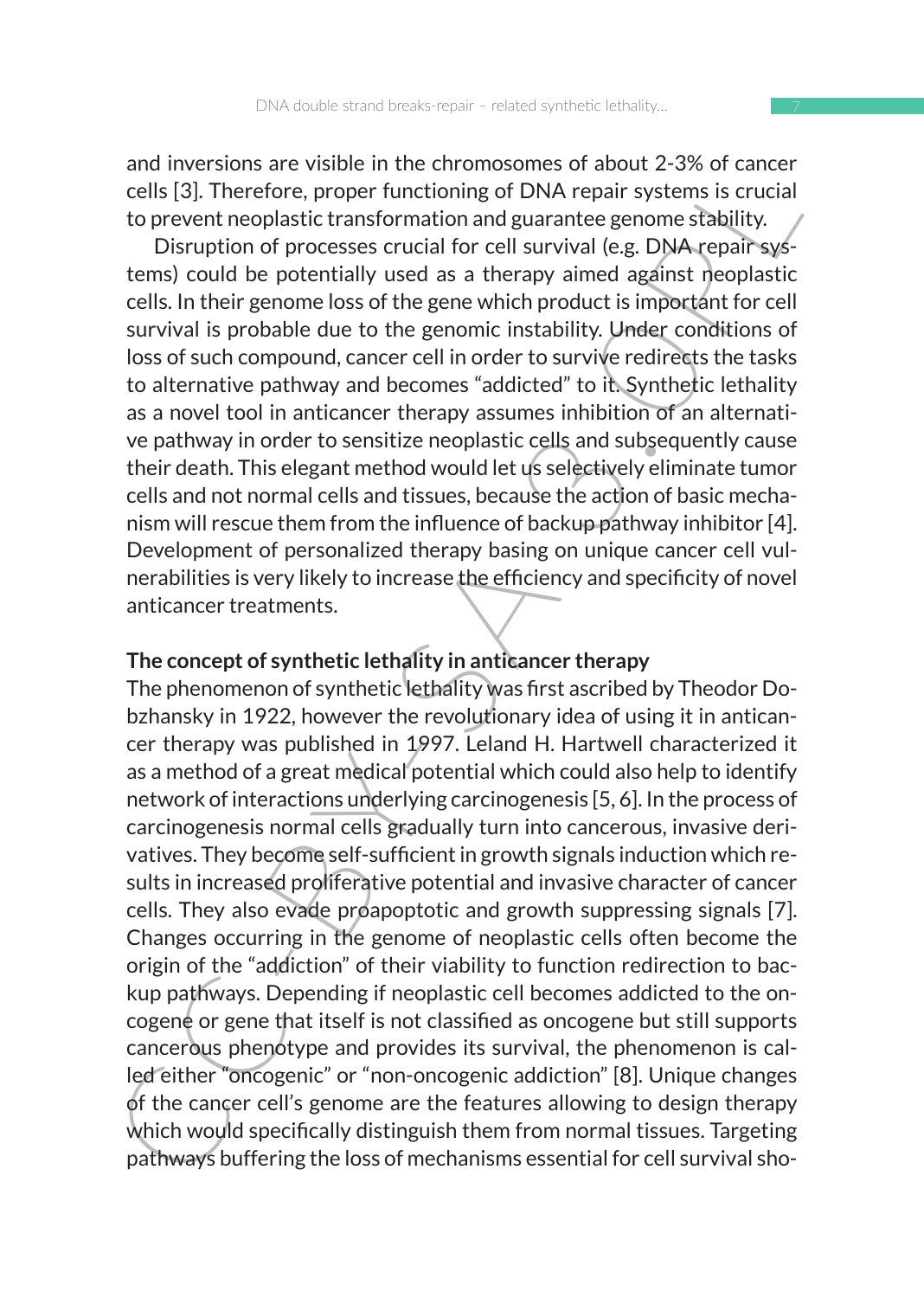7

and inversions are visible in the chromosomes of about 2-3% of cancer cells [3]. Therefore, proper functioning of DNA repair systems is crucial to prevent neoplastic transformation and guarantee genome stability.

Disruption of processes crucial for cell survival (e.g. DNA repair systems) could be potentially used as a therapy aimed against neoplastic cells. In their genome loss of the gene which product is important for cell survival is probable due to the genomic instability. Under conditions of loss of such compound, cancer cell in order to survive redirects the tasks to alternative pathway and becomes "addicted" to it. Synthetic lethality as a novel tool in anticancer therapy assumes inhibition of an alternative pathway in order to sensitize neoplastic cells and subsequently cause their death. This elegant method would let us selectively eliminate tumor cells and not normal cells and tissues, because the action of basic mechanism will rescue them from the influence of backup pathway inhibitor [4]. Development of personalized therapy basing on unique cancer cell vulnerabilities is very likely to increase the efficiency and specificity of novel anticancer treatments.

## **The concept of synthetic lethality in anticancer therapy**

and metersions are visible in the Carolina and exists are coluct 2-5 and the coluct and the coluct the coluct of proper functioning of DNA repair systems is crucial to prevent neoplastic transformation and guarantee genome The phenomenon of synthetic lethality was first ascribed by Theodor Dobzhansky in 1922, however the revolutionary idea of using it in anticancer therapy was published in 1997. Leland H. Hartwell characterized it as a method of a great medical potential which could also help to identify network of interactions underlying carcinogenesis [5, 6]. In the process of carcinogenesis normal cells gradually turn into cancerous, invasive derivatives. They become self-sufficient in growth signals induction which results in increased proliferative potential and invasive character of cancer cells. They also evade proapoptotic and growth suppressing signals [7]. Changes occurring in the genome of neoplastic cells often become the origin of the "addiction" of their viability to function redirection to backup pathways. Depending if neoplastic cell becomes addicted to the oncogene or gene that itself is not classified as oncogene but still supports cancerous phenotype and provides its survival, the phenomenon is called either "oncogenic" or "non-oncogenic addiction" [8]. Unique changes of the cancer cell's genome are the features allowing to design therapy which would specifically distinguish them from normal tissues. Targeting pathways buffering the loss of mechanisms essential for cell survival sho-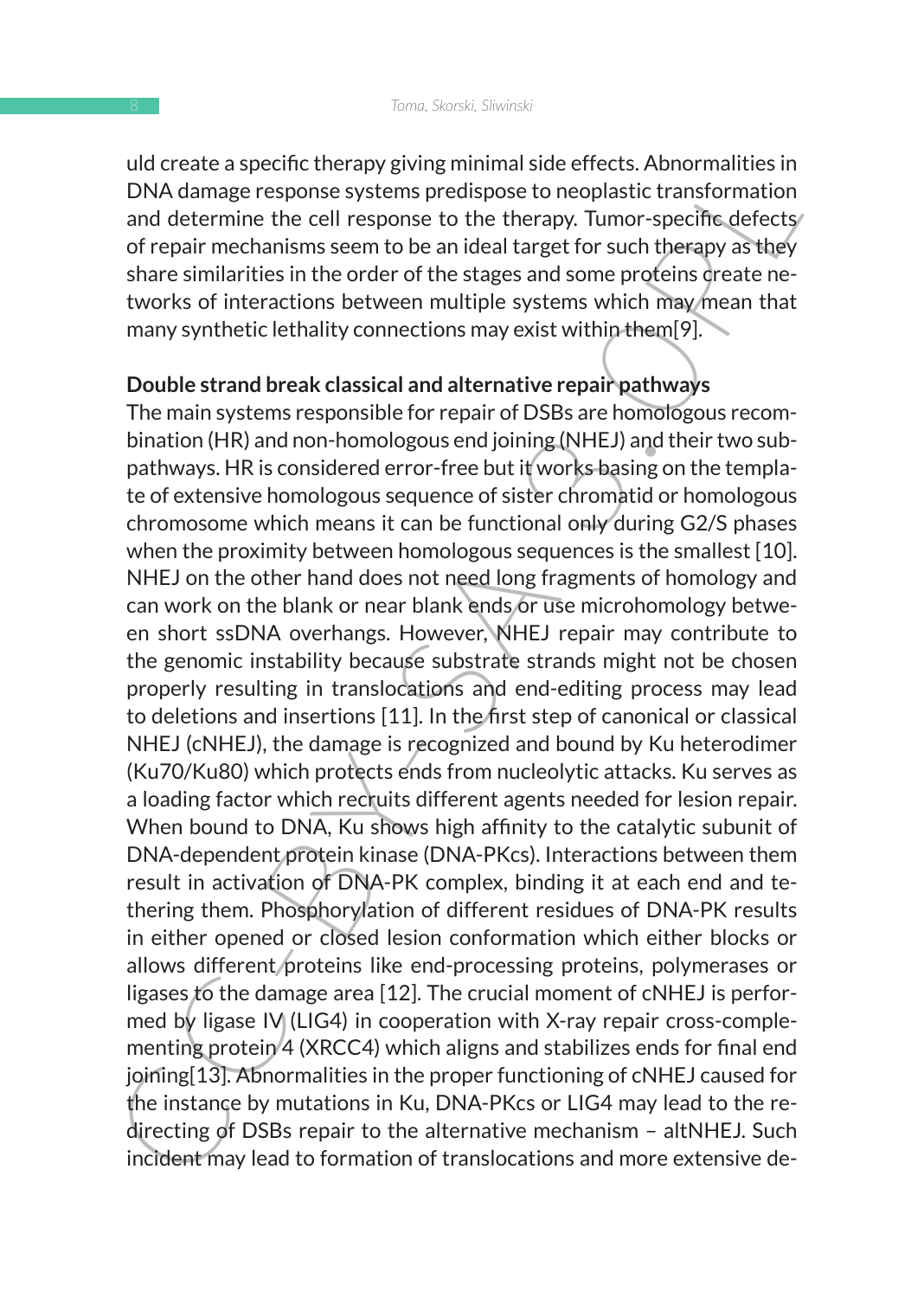uld create a specific therapy giving minimal side effects. Abnormalities in DNA damage response systems predispose to neoplastic transformation and determine the cell response to the therapy. Tumor-specific defects/ of repair mechanisms seem to be an ideal target for such therapy as they share similarities in the order of the stages and some proteins dreate networks of interactions between multiple systems which may mean that many synthetic lethality connections may exist within them[9].

## **Double strand break classical and alternative repair pathways**

our case as specime their yightimit and the enects. Antiomination<br>and determine the cell response by the herapy. Tumor-specific defects<br>and determine the cell response to the therapy. Tumor-specific defects<br>of repair mecha The main systems responsible for repair of DSBs are homologous recombination (HR) and non-homologous end joining (NHEJ) and their two subpathways. HR is considered error-free but it works basing on the template of extensive homologous sequence of sister chromatid or homologous chromosome which means it can be functional only during G2/S phases when the proximity between homologous sequences is the smallest [10]. NHEJ on the other hand does not need long fragments of homology and can work on the blank or near blank ends or use microhomology between short ssDNA overhangs. However, NHEJ repair may contribute to the genomic instability because substrate strands might not be chosen properly resulting in translocations and end-editing process may lead to deletions and insertions [11]. In the first step of canonical or classical NHEJ (cNHEJ), the damage is recognized and bound by Ku heterodimer (Ku70/Ku80) which protects ends from nucleolytic attacks. Ku serves as a loading factor which recruits different agents needed for lesion repair. When bound to DNA, Ku shows high affinity to the catalytic subunit of DNA-dependent protein kinase (DNA-PKcs). Interactions between them result in activation of DNA-PK complex, binding it at each end and tethering them. Phosphorylation of different residues of DNA-PK results in either opened or closed lesion conformation which either blocks or allows different proteins like end-processing proteins, polymerases or ligases to the damage area [12]. The crucial moment of cNHEJ is performed by ligase  $IV | (L | G4)$  in cooperation with X-ray repair cross-complementing protein 4 (XRCC4) which aligns and stabilizes ends for final end joining[13]. Abnormalities in the proper functioning of cNHEJ caused for the instance by mutations in Ku, DNA-PKcs or LIG4 may lead to the redirecting of DSBs repair to the alternative mechanism – altNHEJ. Such incident may lead to formation of translocations and more extensive de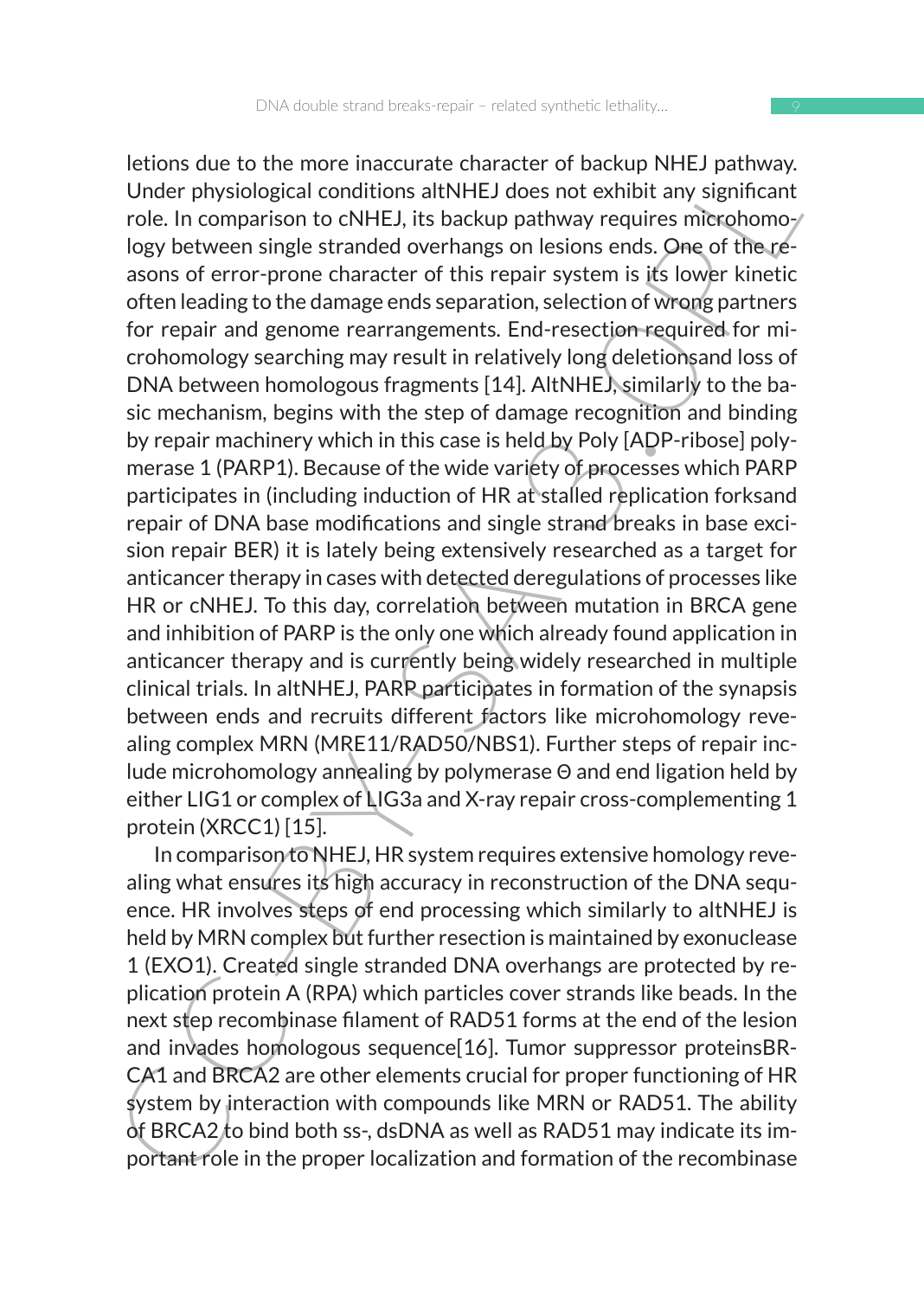Future to the minder matter to the same that the same of the minder physiological conditions at<br>HHEJ dees not exhibit any significant role. In comparison to cNHEJ, its backup pathway requires microphomoy<br>logy between singl letions due to the more inaccurate character of backup NHEJ pathway. Under physiological conditions altNHEJ does not exhibit any significant role. In comparison to cNHEJ, its backup pathway requires microhomology between single stranded overhangs on lesions ends. One of the reasons of error-prone character of this repair system is its lower kinetic often leading to the damage ends separation, selection of wrong partners for repair and genome rearrangements. End-resection required for microhomology searching may result in relatively long deletionsand loss of DNA between homologous fragments [14]. AltNHEJ, similarly to the basic mechanism, begins with the step of damage recognition and binding by repair machinery which in this case is held by Poly [ADP-ribose] polymerase 1 (PARP1). Because of the wide variety of processes which PARP participates in (including induction of HR at stalled replication forksand repair of DNA base modifications and single strand breaks in base excision repair BER) it is lately being extensively researched as a target for anticancer therapy in cases with detected deregulations of processes like HR or cNHEJ. To this day, correlation between mutation in BRCA gene and inhibition of PARP is the only one which already found application in anticancer therapy and is currently being widely researched in multiple clinical trials. In altNHEJ, PARP participates in formation of the synapsis between ends and recruits different factors like microhomology revealing complex MRN (MRE11/RAD50/NBS1). Further steps of repair include microhomology annealing by polymerase Θ and end ligation held by either LIG1 or complex of LIG3a and X-ray repair cross-complementing 1 protein (XRCC1) [15].

In comparison to NHEJ, HR system requires extensive homology revealing what ensures its high accuracy in reconstruction of the DNA sequence. HR involves steps of end processing which similarly to altNHEJ is held by MRN complex but further resection is maintained by exonuclease 1 (EXO1). Created single stranded DNA overhangs are protected by replication protein A (RPA) which particles cover strands like beads. In the next step recombinase filament of RAD51 forms at the end of the lesion and invades homologous sequence[16]. Tumor suppressor proteinsBR-CA1 and BRCA2 are other elements crucial for proper functioning of HR system by interaction with compounds like MRN or RAD51. The ability of BRCA2 to bind both ss-, dsDNA as well as RAD51 may indicate its important role in the proper localization and formation of the recombinase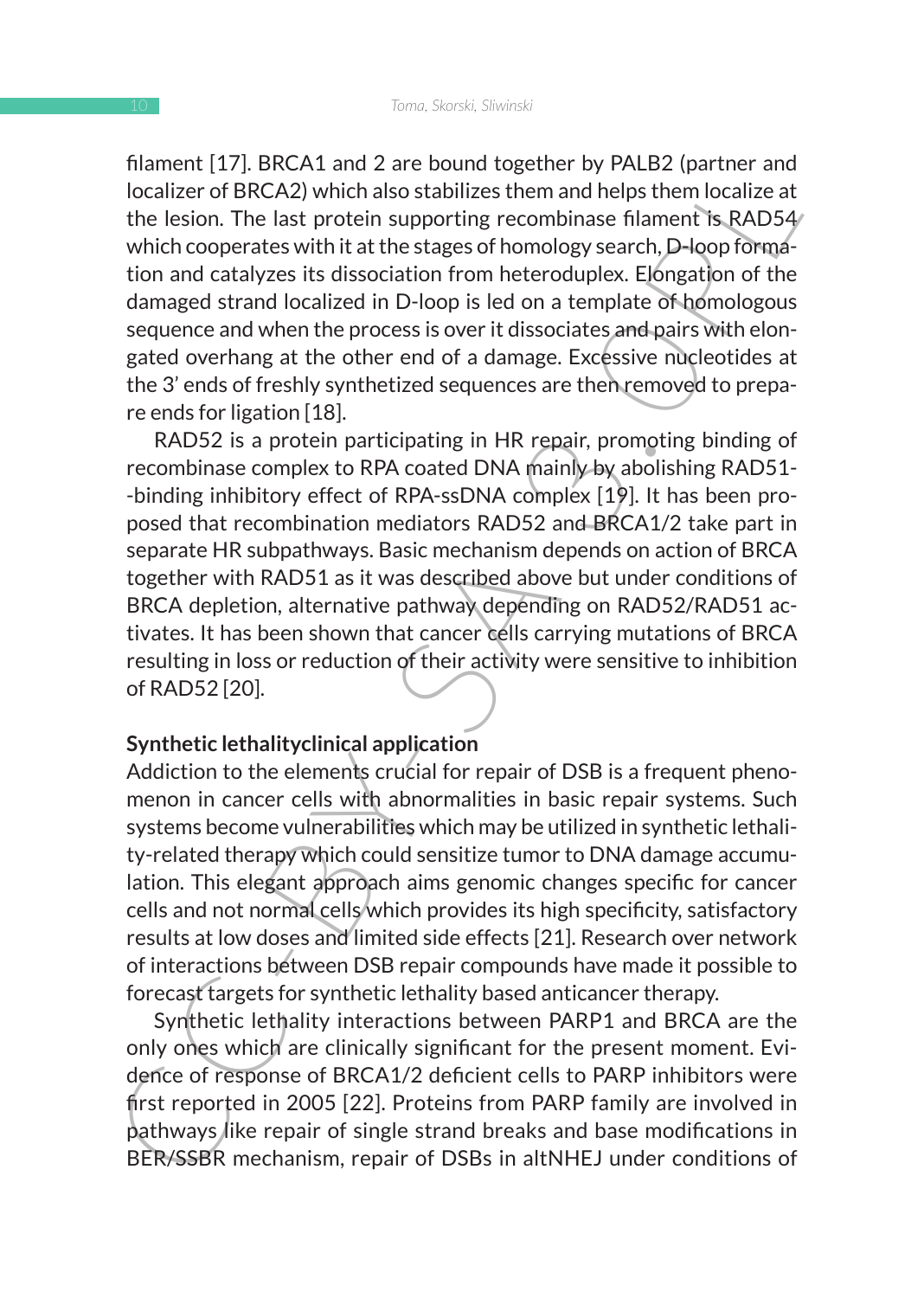filament [17]. BRCA1 and 2 are bound together by PALB2 (partner and localizer of BRCA2) which also stabilizes them and helps them localize at the lesion. The last protein supporting recombinase filament is RAD54 which cooperates with it at the stages of homology search, D-loop formation and catalyzes its dissociation from heteroduplex. Elongation of the damaged strand localized in D-loop is led on a template of homologous sequence and when the process is over it dissociates and pairs with elongated overhang at the other end of a damage. Excessive nucleotides at the 3' ends of freshly synthetized sequences are then removed to prepare ends for ligation [18].

niament [17]. It has the total and 2 are both to the continuous collates the procedure of BRCA2) which also stabilizes them and helps them localize at the lesion. The last protein supporting recombinase falment is RAD54 wh RAD52 is a protein participating in HR repair, promoting binding of recombinase complex to RPA coated DNA mainly by abolishing RAD51- -binding inhibitory effect of RPA-ssDNA complex [19]. It has been proposed that recombination mediators RAD52 and BRCA1/2 take part in separate HR subpathways. Basic mechanism depends on action of BRCA together with RAD51 as it was described above but under conditions of BRCA depletion, alternative pathway depending on RAD52/RAD51 activates. It has been shown that cancer cells carrying mutations of BRCA resulting in loss or reduction of their activity were sensitive to inhibition of RAD52 [20].

#### **Synthetic lethalityclinical application**

Addiction to the elements crucial for repair of DSB is a frequent phenomenon in cancer cells with abnormalities in basic repair systems. Such systems become vulnerabilities which may be utilized in synthetic lethality-related therapy which could sensitize tumor to DNA damage accumulation. This elegant approach aims genomic changes specific for cancer cells and not normal cells which provides its high specificity, satisfactory results at low doses and limited side effects [21]. Research over network of interactions between DSB repair compounds have made it possible to forecast targets for synthetic lethality based anticancer therapy.

Synthetic lethality interactions between PARP1 and BRCA are the only ones which are clinically significant for the present moment. Evidence of response of BRCA1/2 deficient cells to PARP inhibitors were first reported in 2005 [22]. Proteins from PARP family are involved in pathways like repair of single strand breaks and base modifications in BER/SSBR mechanism, repair of DSBs in altNHEJ under conditions of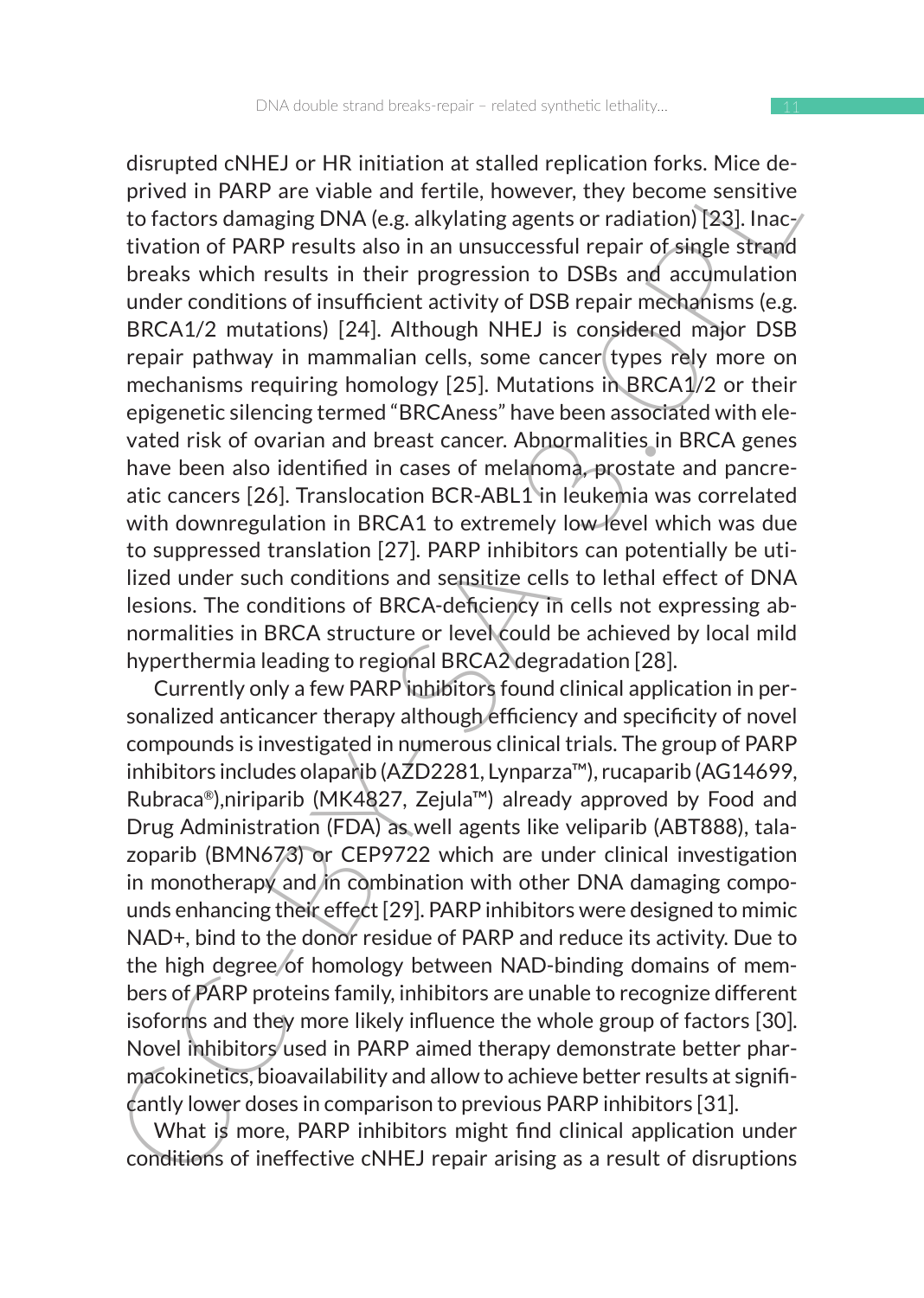original CONFLS) or the filmulation at stating repiration (Torks, Inite de-<br>new prived in PARP are visible and fertile, however, they become sensitive<br>to feators damaging DNA (e.g. alkylating agents or radiation)[28]. Inac disrupted cNHEJ or HR initiation at stalled replication forks. Mice deprived in PARP are viable and fertile, however, they become sensitive to factors damaging DNA (e.g. alkylating agents or radiation) [23]. Inactivation of PARP results also in an unsuccessful repair of single strand breaks which results in their progression to DSBs and accumulation under conditions of insufficient activity of DSB repair mechanisms (e.g. BRCA1/2 mutations) [24]. Although NHEJ is considered major DSB repair pathway in mammalian cells, some cancer types rely more on mechanisms requiring homology [25]. Mutations in BRCA1/2 or their epigenetic silencing termed "BRCAness" have been associated with elevated risk of ovarian and breast cancer. Abnormalities in BRCA genes have been also identified in cases of melanoma, prostate and pancreatic cancers [26]. Translocation BCR-ABL1 in leukemia was correlated with downregulation in BRCA1 to extremely low level which was due to suppressed translation [27]. PARP inhibitors can potentially be utilized under such conditions and sensitize cells to lethal effect of DNA lesions. The conditions of BRCA-deficiency in cells not expressing abnormalities in BRCA structure or level could be achieved by local mild hyperthermia leading to regional BRCA2 degradation [28].

Currently only a few PARP inhibitors found clinical application in personalized anticancer therapy although efficiency and specificity of novel compounds is investigated in numerous clinical trials. The group of PARP inhibitors includes olaparib (AZD2281, Lynparza™), rucaparib (AG14699, Rubraca®),niriparib (MK4827, Zejula™) already approved by Food and Drug Administration (FDA) as well agents like veliparib (ABT888), talazoparib (BMN673) or CEP9722 which are under clinical investigation in monotherapy and in combination with other DNA damaging compounds enhancing their effect [29]. PARP inhibitors were designed to mimic NAD+, bind to the donor residue of PARP and reduce its activity. Due to the high degree of homology between NAD-binding domains of members of PARP proteins family, inhibitors are unable to recognize different isoforms and they more likely influence the whole group of factors [30]. Novel inhibitors used in PARP aimed therapy demonstrate better pharmacokinetics, bioavailability and allow to achieve better results at significantly lower doses in comparison to previous PARP inhibitors [31].

What is more, PARP inhibitors might find clinical application under conditions of ineffective cNHEJ repair arising as a result of disruptions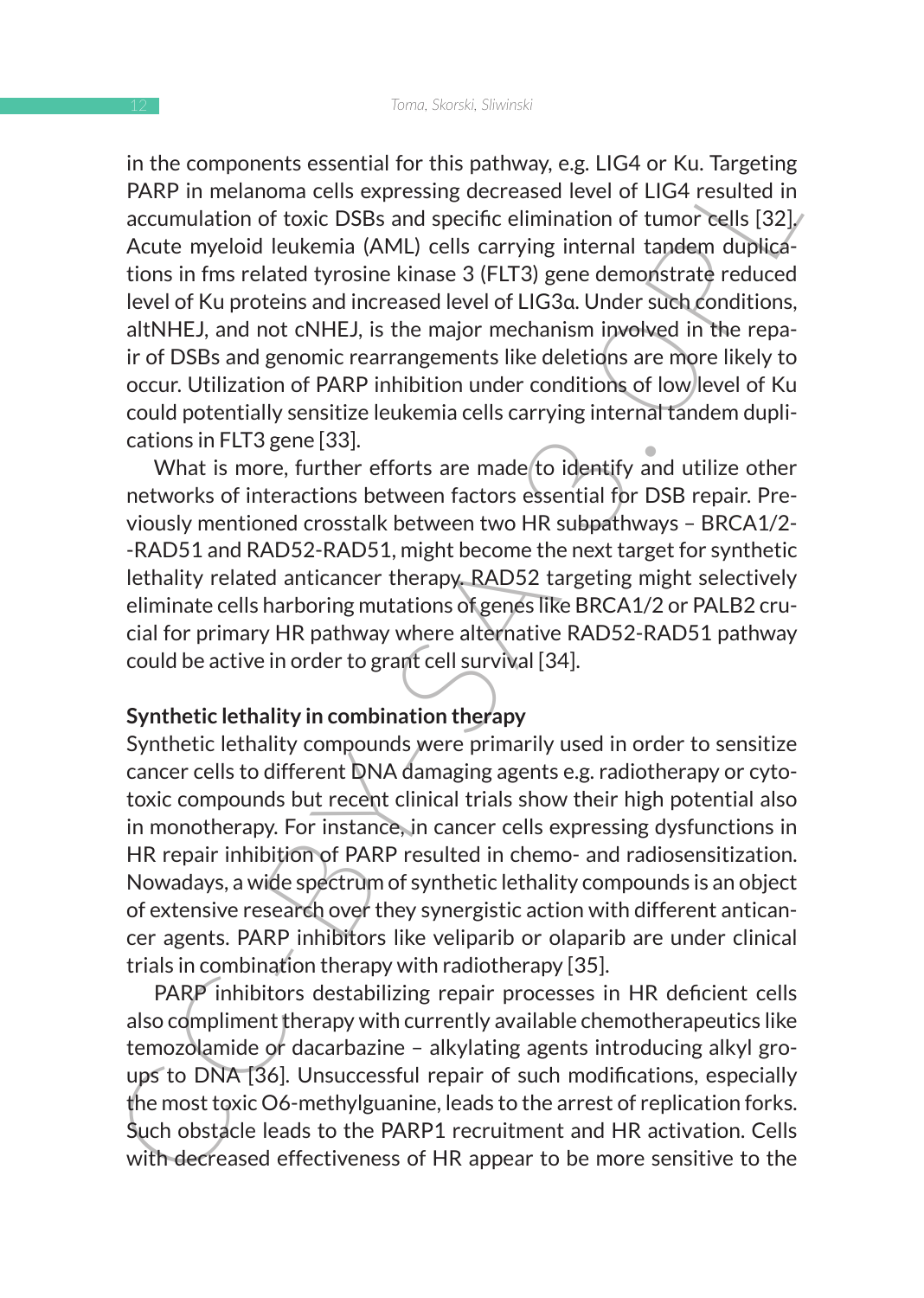In an computionis assesting to this paulway, e.g. tics of rol. Targeting<br>
PARP in melanoma cells expressing decreased level of LIG4 resulted in<br>
accumulation of toxic DSBs and specific elimination of tumor cells [32].<br>
Acc in the components essential for this pathway, e.g. LIG4 or Ku. Targeting PARP in melanoma cells expressing decreased level of LIG4 resulted in accumulation of toxic DSBs and specific elimination of tumor cells [32]. Acute myeloid leukemia (AML) cells carrying internal tandem duplications in fms related tyrosine kinase 3 (FLT3) gene demonstrate reduced level of Ku proteins and increased level of LIG3α. Under such conditions, altNHEJ, and not cNHEJ, is the major mechanism involved in the repair of DSBs and genomic rearrangements like deletions are more likely to occur. Utilization of PARP inhibition under conditions of low level of Ku could potentially sensitize leukemia cells carrying internal tandem duplications in FLT3 gene [33].

What is more, further efforts are made to identify and utilize other networks of interactions between factors essential for DSB repair. Previously mentioned crosstalk between two HR subpathways – BRCA1/2- -RAD51 and RAD52-RAD51, might become the next target for synthetic lethality related anticancer therapy. RAD52 targeting might selectively eliminate cells harboring mutations of genes like BRCA1/2 or PALB2 crucial for primary HR pathway where alternative RAD52-RAD51 pathway could be active in order to grant cell survival [34].

#### **Synthetic lethality in combination therapy**

Synthetic lethality compounds were primarily used in order to sensitize cancer cells to different DNA damaging agents e.g. radiotherapy or cytotoxic compounds but recent clinical trials show their high potential also in monotherapy. For instance, in cancer cells expressing dysfunctions in HR repair inhibition of PARP resulted in chemo- and radiosensitization. Nowadays, a wide spectrum of synthetic lethality compounds is an object of extensive research over they synergistic action with different anticancer agents. PARP inhibitors like veliparib or olaparib are under clinical trials in combination therapy with radiotherapy [35].

PARP inhibitors destabilizing repair processes in HR deficient cells also compliment therapy with currently available chemotherapeutics like temozolamide or dacarbazine – alkylating agents introducing alkyl groups to DNA [36]. Unsuccessful repair of such modifications, especially the most toxic O6-methylguanine, leads to the arrest of replication forks. Such obstacle leads to the PARP1 recruitment and HR activation. Cells with decreased effectiveness of HR appear to be more sensitive to the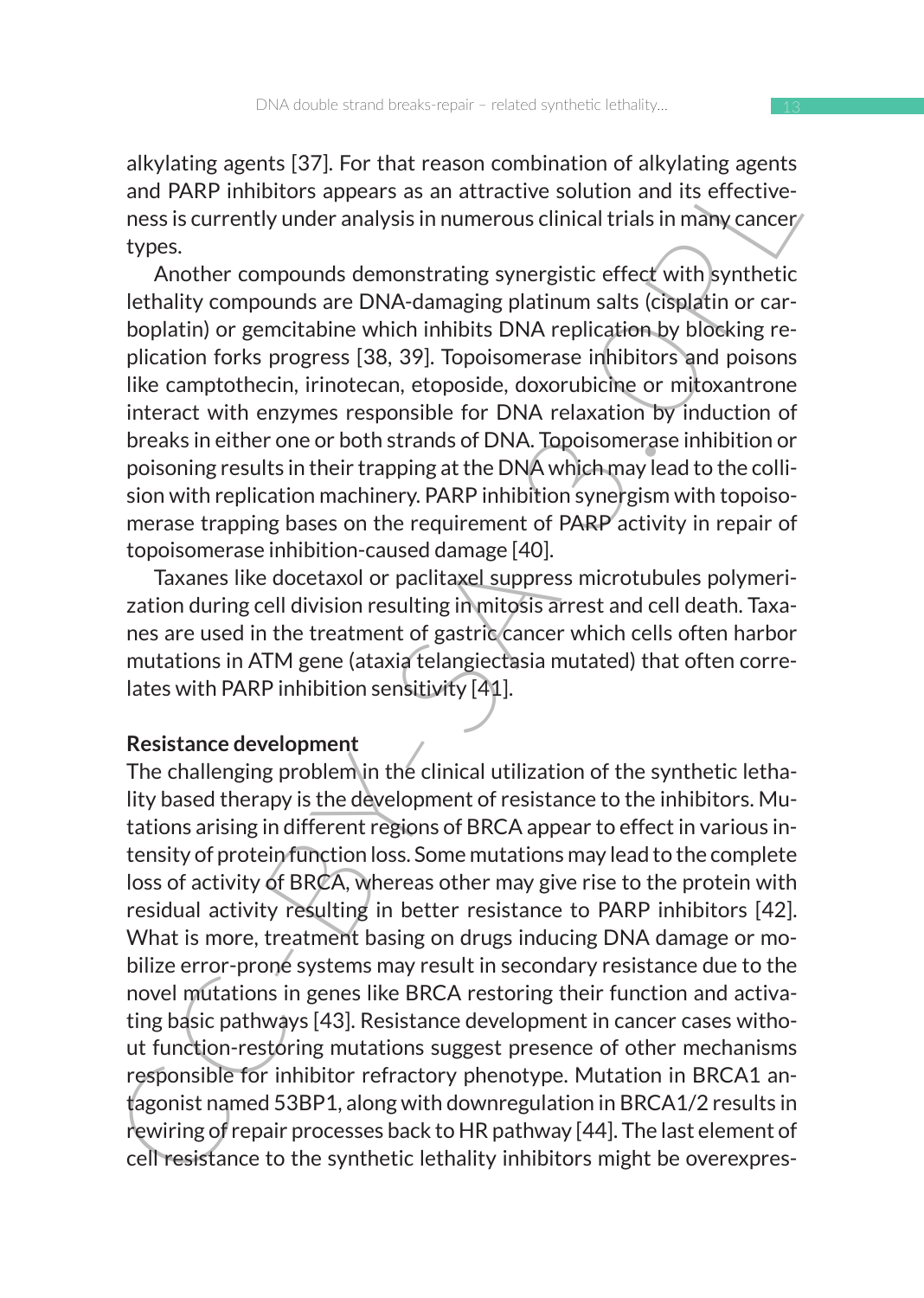alkylating agents [37]. For that reason combination of alkylating agents and PARP inhibitors appears as an attractive solution and its effectiveness is currently under analysis in numerous clinical trials in many cancer types.

Another compounds demonstrating synergistic effect with synthetic lethality compounds are DNA-damaging platinum salts (cisplatin or carboplatin) or gemcitabine which inhibits DNA replication by blocking replication forks progress [38, 39]. Topoisomerase inhibitors and poisons like camptothecin, irinotecan, etoposide, doxorubicine or mitoxantrone interact with enzymes responsible for DNA relaxation by induction of breaks in either one or both strands of DNA. Topoisomerase inhibition or poisoning results in their trapping at the DNA which may lead to the collision with replication machinery. PARP inhibition synergism with topoisomerase trapping bases on the requirement of PARP activity in repair of topoisomerase inhibition-caused damage [40].

Taxanes like docetaxol or paclitaxel suppress microtubules polymerization during cell division resulting in mitosis arrest and cell death. Taxanes are used in the treatment of gastric cancer which cells often harbor mutations in ATM gene (ataxia telangiectasia mutated) that often correlates with PARP inhibition sensitivity [41].

#### **Resistance development**

any<br>and PARP inhibitors appears as an attractive solution and its effective-<br>said PARP inhibitors appears as an attractive solution and its effective-<br>ress is currently under analysis in numerous clinical trials in many ca The challenging problem in the clinical utilization of the synthetic lethality based therapy is the development of resistance to the inhibitors. Mutations arising in different regions of BRCA appear to effect in various intensity of protein function loss. Some mutations may lead to the complete loss of activity of BRCA, whereas other may give rise to the protein with residual activity resulting in better resistance to PARP inhibitors [42]. What is more, treatment basing on drugs inducing DNA damage or mobilize error-prone systems may result in secondary resistance due to the novel mutations in genes like BRCA restoring their function and activating basic pathways [43]. Resistance development in cancer cases without function-restoring mutations suggest presence of other mechanisms responsible for inhibitor refractory phenotype. Mutation in BRCA1 antagonist named 53BP1, along with downregulation in BRCA1/2 results in rewiring of repair processes back to HR pathway [44]. The last element of cell resistance to the synthetic lethality inhibitors might be overexpres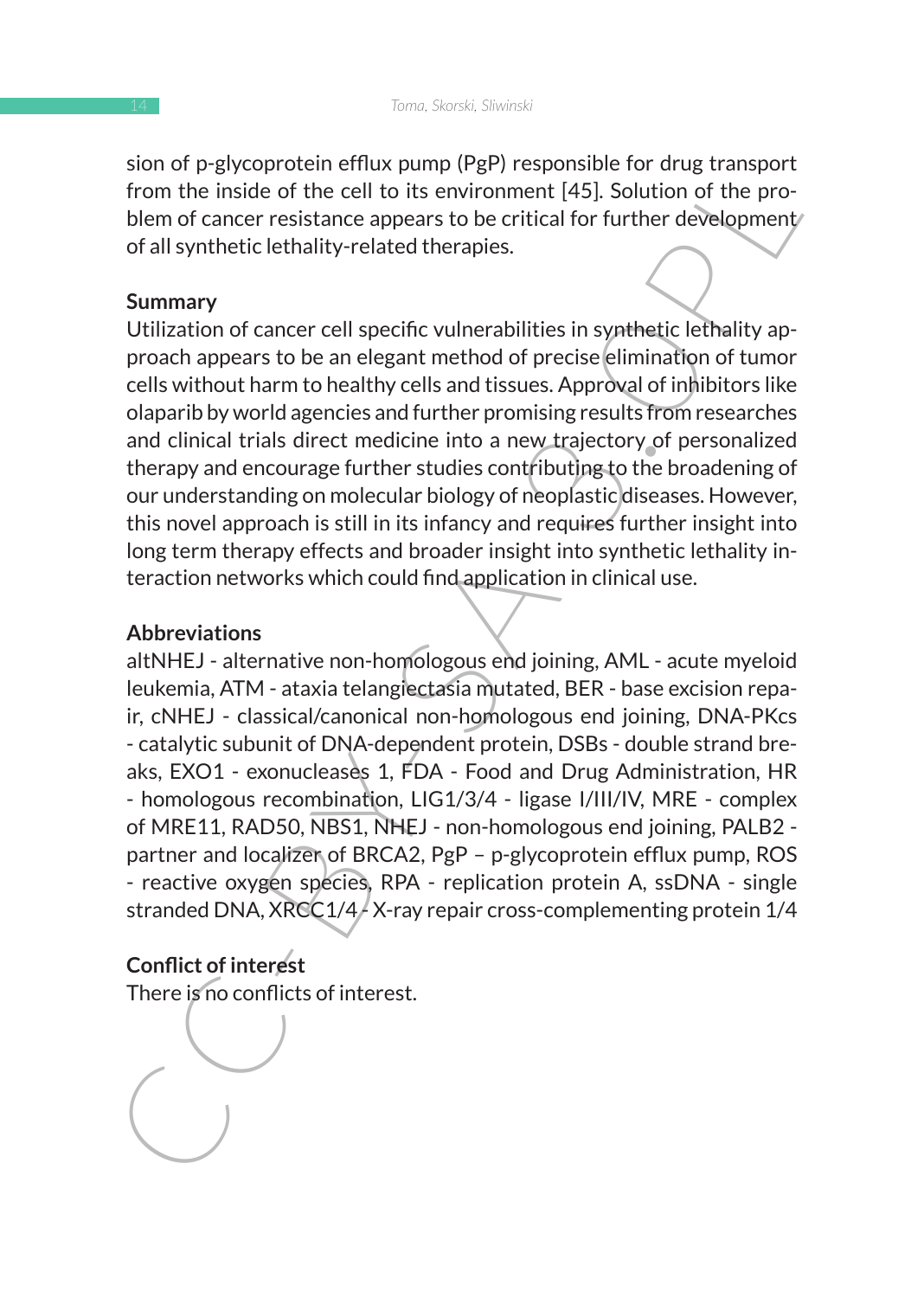sion of p-glycoprotein efflux pump (PgP) responsible for drug transport from the inside of the cell to its environment [45]. Solution of the problem of cancer resistance appears to be critical for further development of all synthetic lethality-related therapies.

#### **Summary**

Utilization of cancer cell specific vulnerabilities in synthetic lethality approach appears to be an elegant method of precise elimination of tumor cells without harm to healthy cells and tissues. Approval of inhibitors like olaparib by world agencies and further promising results from researches and clinical trials direct medicine into a new trajectory of personalized therapy and encourage further studies contributing to the broadening of our understanding on molecular biology of neoplastic diseases. However, this novel approach is still in its infancy and requires further insight into long term therapy effects and broader insight into synthetic lethality interaction networks which could find application in clinical use.

#### **Abbreviations**

station the symptople in the same properties and the properties of the properties of the cell to its environment [45]. Solution of the problem of cancer resistance appears to be critical for further development of all synt altNHEJ - alternative non-homologous end joining, AML - acute myeloid leukemia, ATM - ataxia telangiectasia mutated, BER - base excision repair, cNHEJ - classical/canonical non-homologous end joining, DNA-PKcs - catalytic subunit of DNA-dependent protein, DSBs - double strand breaks, EXO1 - exonucleases 1, FDA - Food and Drug Administration, HR - homologous recombination, LIG1/3/4 - ligase I/III/IV, MRE - complex of MRE11, RAD50, NBS1, NHEJ - non-homologous end joining, PALB2 partner and localizer of BRCA2, PgP – p-glycoprotein efflux pump, ROS - reactive oxygen species, RPA - replication protein A, ssDNA - single stranded DNA, XRCC1/4 $/$ X-ray repair cross-complementing protein 1/4

### **Conflict of interest**

There is no conflicts of interest.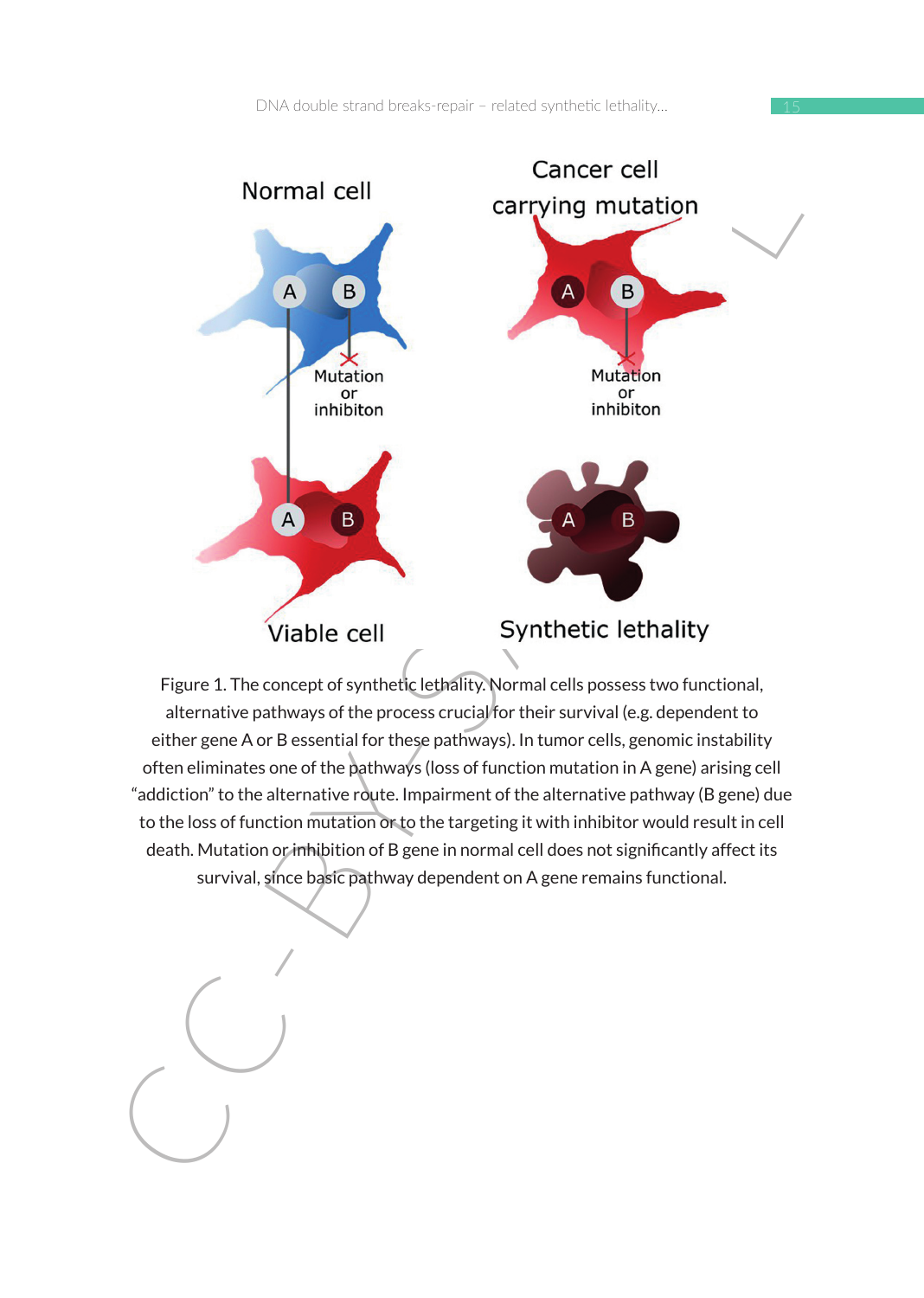15



Figure 1. The concept of synthetic lethality. Normal cells possess two functional, alternative pathways of the process crucial for their survival (e.g. dependent to either gene A or B essential for these pathways). In tumor cells, genomic instability often eliminates one of the pathways (loss of function mutation in A gene) arising cell "addiction" to the alternative route. Impairment of the alternative pathway (B gene) due to the loss of function mutation or to the targeting it with inhibitor would result in cell death. Mutation or inhibition of B gene in normal cell does not significantly affect its survival, since basic pathway dependent on A gene remains functional.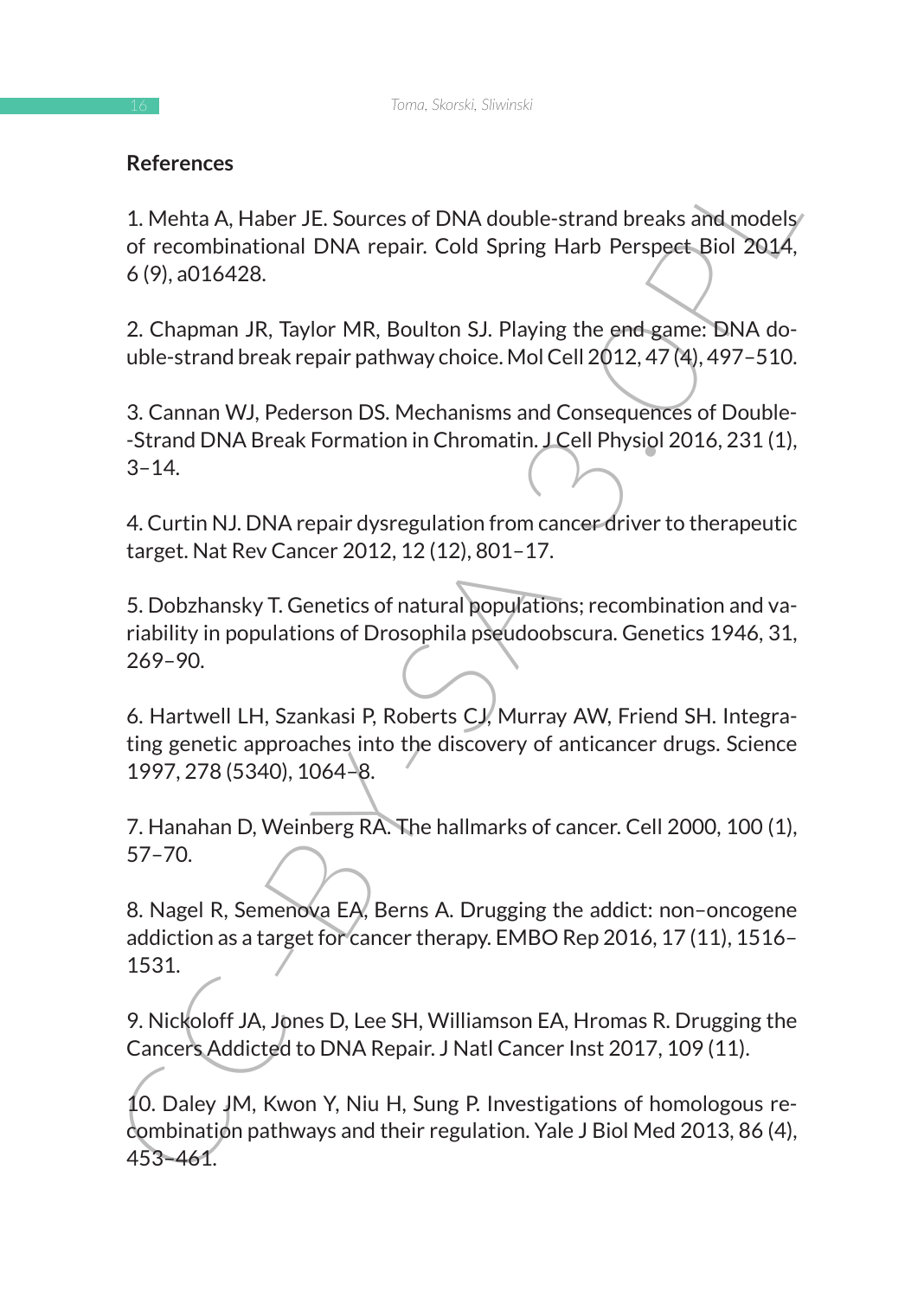## **References**

1. Mehta A, Haber JE. Sources of DNA double-strand breaks and models of recombinational DNA repair. Cold Spring Harb Perspect Biol 2014, 6 (9), a016428.

2. Chapman JR, Taylor MR, Boulton SJ. Playing the end game: DNA double-strand break repair pathway choice. Mol Cell 2012, 47 (4), 497–510.

3. Cannan WJ, Pederson DS. Mechanisms and Consequences of Double- -Strand DNA Break Formation in Chromatin. J Cell Physiol 2016, 231 (1), 3–14.

4. Curtin NJ. DNA repair dysregulation from cancer driver to therapeutic target. Nat Rev Cancer 2012, 12 (12), 801–17.

References<br>
1. Metha A, Haber JE. Sources of DNA double-strand breaks and models<br>
1. Metha A, Haber JE. Sources of DNA double-strand breaks and models<br>
6 (9), a016428.<br>
2. Chapman JR, Taylor MR, Boulton SJ. Playing the end 5. Dobzhansky T. Genetics of natural populations; recombination and variability in populations of Drosophila pseudoobscura. Genetics 1946, 31, 269–90.

6. Hartwell LH, Szankasi P, Roberts CJ, Murray AW, Friend SH. Integrating genetic approaches into the discovery of anticancer drugs. Science 1997, 278 (5340), 1064–8.

7. Hanahan D, Weinberg RA. The hallmarks of cancer. Cell 2000, 100 (1), 57–70.

8. Nagel R, Semenova EA, Berns A. Drugging the addict: non–oncogene addiction as a target for cancer therapy. EMBO Rep 2016, 17 (11), 1516– 1531.

9. Nickoloff JA, Jones D, Lee SH, Williamson EA, Hromas R. Drugging the Cancers Addicted to DNA Repair. J Natl Cancer Inst 2017, 109 (11).

10. Daley JM, Kwon Y, Niu H, Sung P. Investigations of homologous recombination pathways and their regulation. Yale J Biol Med 2013, 86 (4), 453–461.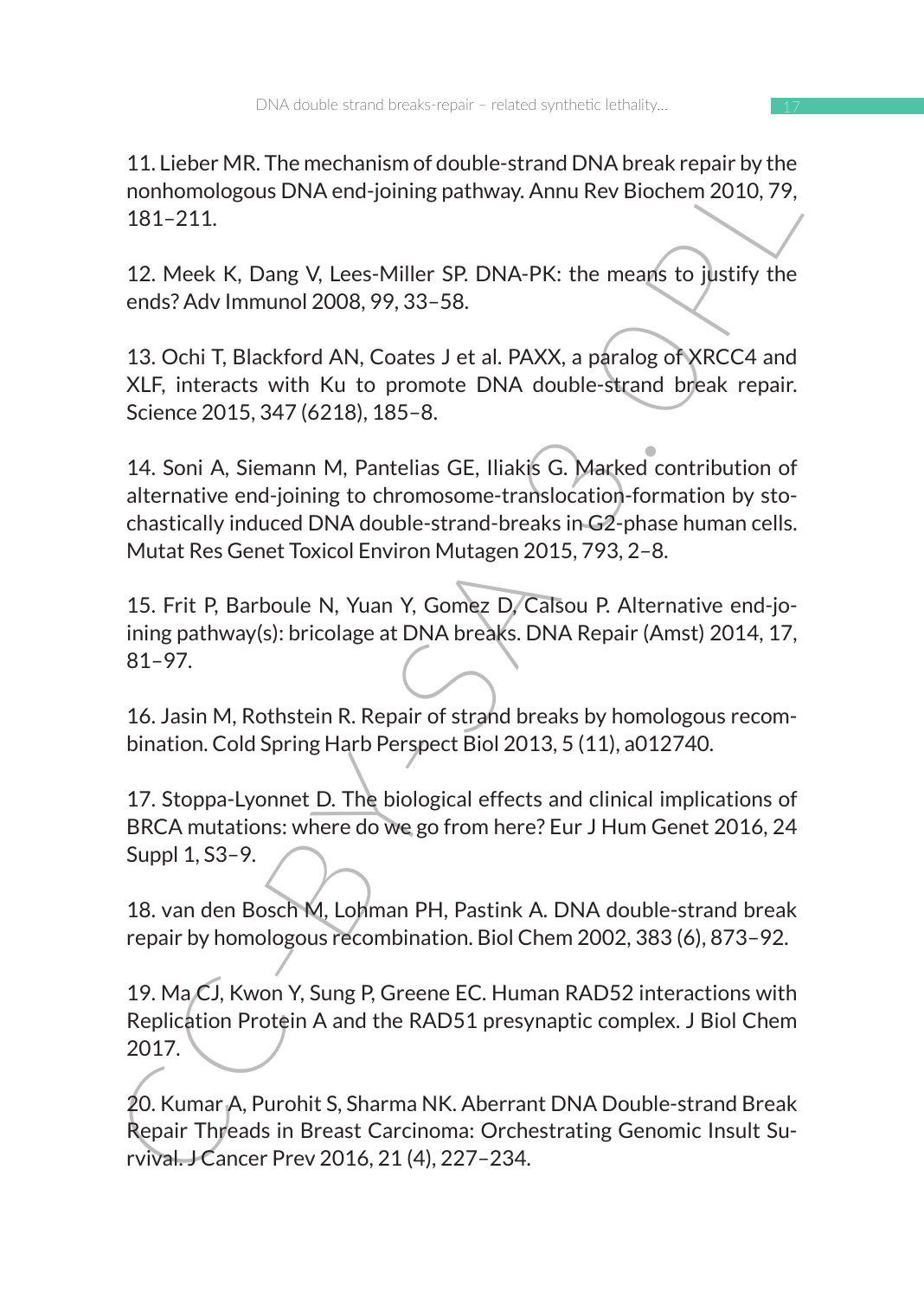17

11. Lieber MR. The mechanism of double-strand DNA break repair by the nonhomologous DNA end-joining pathway. Annu Rev Biochem 2010, 79, 181–211.

12. Meek K, Dang V, Lees-Miller SP. DNA-PK: the means to justify the ends? Adv Immunol 2008, 99, 33–58.

13. Ochi T, Blackford AN, Coates J et al. PAXX, a paralog of XRCC4 and XLF, interacts with Ku to promote DNA double-strand break repair. Science 2015, 347 (6218), 185–8.

1. Lieter with the mechanismin double-start DIVA Discrete Repair by the<br>
nonhomologous DNA end-joining pathway. Annu Rev Biochem 2010, 79,<br>
181-211.<br>
12. Meek K, Dang V, Lees-Miller SP. DNA-PK: the means to justify the<br>
en 14. Soni A, Siemann M, Pantelias GE, Iliakis G. Marked contribution of alternative end-joining to chromosome-translocation-formation by stochastically induced DNA double-strand-breaks in G2-phase human cells. Mutat Res Genet Toxicol Environ Mutagen 2015, 793, 2–8.

15. Frit P, Barboule N, Yuan Y, Gomez D, Calsou P. Alternative end-joining pathway(s): bricolage at DNA breaks. DNA Repair (Amst) 2014, 17, 81–97.

16. Jasin M, Rothstein R. Repair of strand breaks by homologous recombination. Cold Spring Harb Perspect Biol 2013, 5 (11), a012740.

17. Stoppa-Lyonnet D. The biological effects and clinical implications of BRCA mutations: where do we go from here? Eur J Hum Genet 2016, 24 Suppl 1, S3–9.

18. van den Bosch M, Lohman PH, Pastink A. DNA double-strand break repair by homologous recombination. Biol Chem 2002, 383 (6), 873–92.

19. Ma CJ, Kwon Y, Sung P, Greene EC. Human RAD52 interactions with Replication Protein A and the RAD51 presynaptic complex. J Biol Chem 2017.

20. Kumar A, Purohit S, Sharma NK. Aberrant DNA Double-strand Break Repair Threads in Breast Carcinoma: Orchestrating Genomic Insult Survival. J Cancer Prev 2016, 21 (4), 227–234.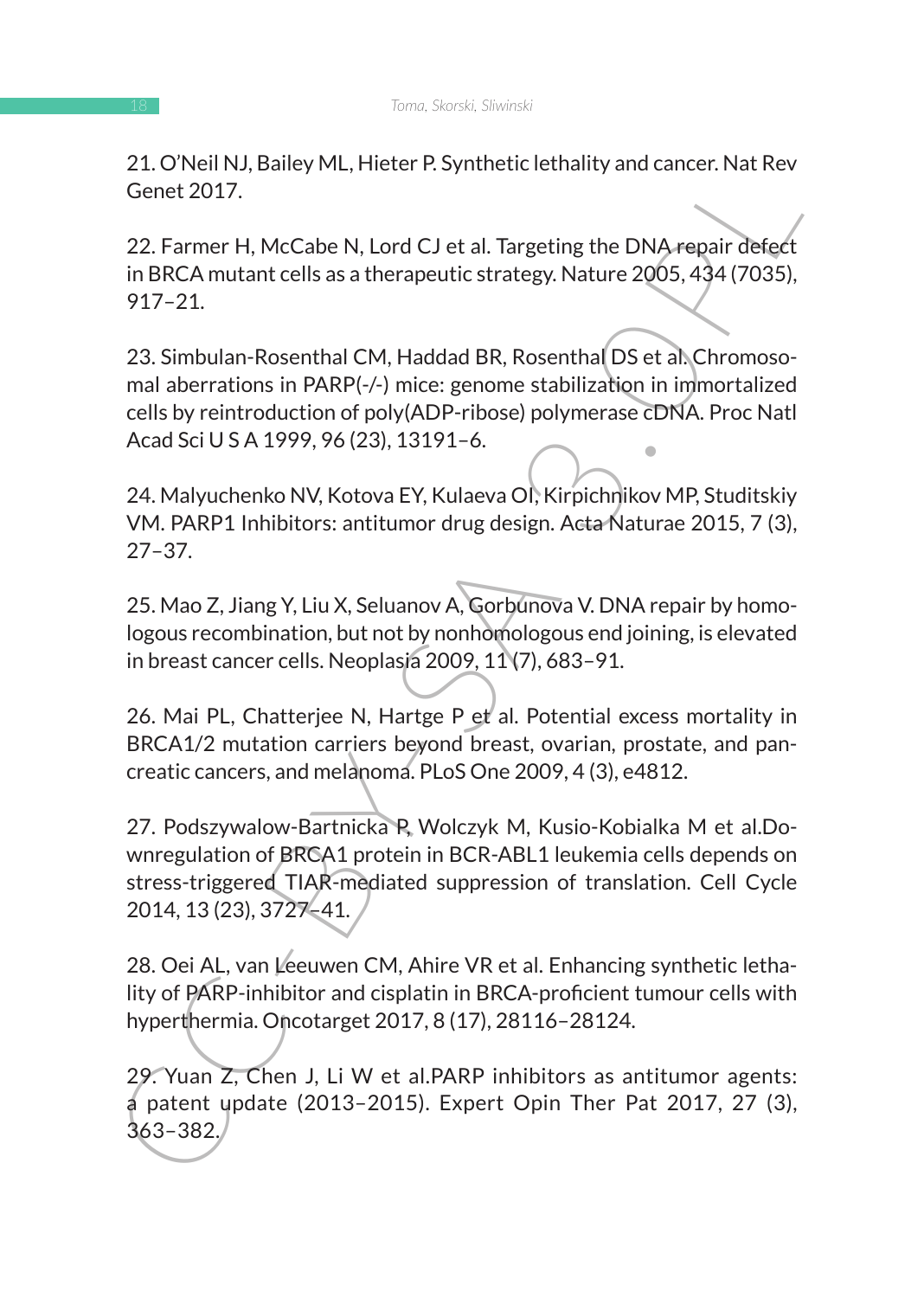21. O'Neil NJ, Bailey ML, Hieter P. Synthetic lethality and cancer. Nat Rev Genet 2017.

22. Farmer H, McCabe N, Lord CJ et al. Targeting the DNA repair defect in BRCA mutant cells as a therapeutic strategy. Nature 2005, 434 (7035), 917–21.

23. Simbulan-Rosenthal CM, Haddad BR, Rosenthal DS et al. Chromosomal aberrations in PARP(-/-) mice: genome stabilization in immortalized cells by reintroduction of poly(ADP-ribose) polymerase cDNA. Proc Natl Acad Sci U S A 1999, 96 (23), 13191–6.

24. Malyuchenko NV, Kotova EY, Kulaeva OI, Kirpichnikov MP, Studitskiy VM. PARP1 Inhibitors: antitumor drug design. Acta Naturae 2015, 7 (3), 27–37.

25. Mao Z, Jiang Y, Liu X, Seluanov A, Gorbunova V. DNA repair by homologous recombination, but not by nonhomologous end joining, is elevated in breast cancer cells. Neoplasia 2009, 11 (7), 683-91.

26. Mai PL, Chatterjee N, Hartge P et al. Potential excess mortality in BRCA1/2 mutation carriers beyond breast, ovarian, prostate, and pancreatic cancers, and melanoma. PLoS One 2009, 4 (3), e4812.

2.1. Over we, meter P. Synthett Lethaniy and Cancer, Nat nev<br>
Cenet 2017.<br>
22. Farmer H, McCabe N, Lord CJ et al. Targeting the DNA repair defect<br>
in BRCA mutant cells as a therapeutic strategy. Nature 2005, 434 (7035),<br>
9 27. Podszywalow-Bartnicka P, Wolczyk M, Kusio-Kobialka M et al.Downregulation of BRCA1 protein in BCR-ABL1 leukemia cells depends on stress-triggered TIAR-mediated suppression of translation. Cell Cycle 2014, 13 (23), 3727–41.

28. Oei AL, van Leeuwen CM, Ahire VR et al. Enhancing synthetic lethality of PARP-inhibitor and cisplatin in BRCA-proficient tumour cells with hyperthermia. Oncotarget 2017, 8 (17), 28116–28124.

29. Yuan Z, Chen J, Li W et al.PARP inhibitors as antitumor agents: a patent update (2013–2015). Expert Opin Ther Pat 2017, 27 (3), 363–382.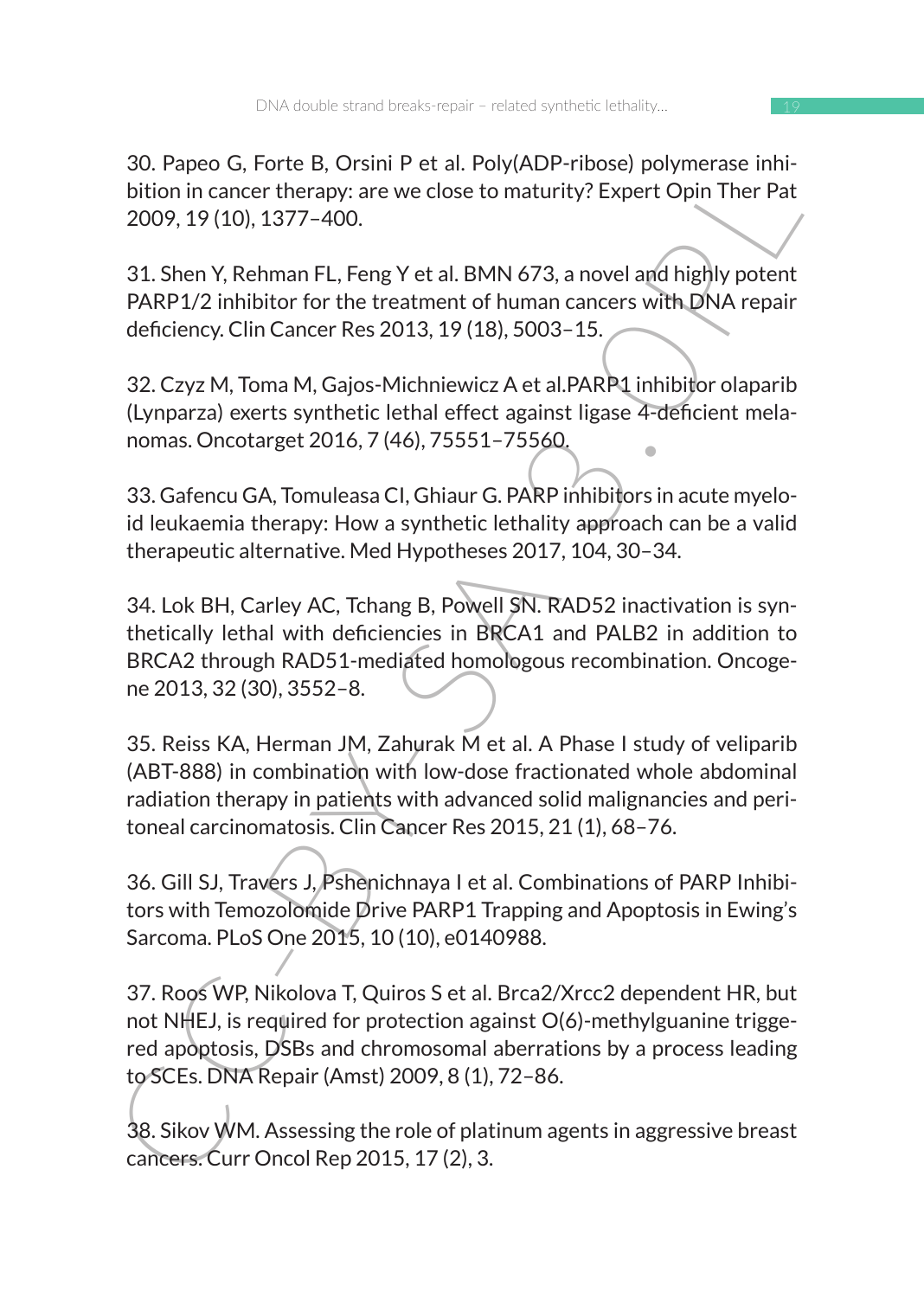30. Papeo G, Forte B, Orsini P et al. Poly(ADP-ribose) polymerase inhibition in cancer therapy: are we close to maturity? Expert Opin Ther Pat 2009, 19 (10), 1377–400.

31. Shen Y, Rehman FL, Feng Y et al. BMN 673, a novel and highly potent PARP1/2 inhibitor for the treatment of human cancers with DNA repair deficiency. Clin Cancer Res 2013, 19 (18), 5003–15.

32. Czyz M, Toma M, Gajos-Michniewicz A et al.PARP1 inhibitor olaparib (Lynparza) exerts synthetic lethal effect against ligase 4-deficient melanomas. Oncotarget 2016, 7 (46), 75551–75560.

33. Gafencu GA, Tomuleasa CI, Ghiaur G. PARP inhibitors in acute myeloid leukaemia therapy: How a synthetic lethality approach can be a valid therapeutic alternative. Med Hypotheses 2017, 104, 30–34.

So. Papeo G, Fore B, Olstini Peta L. PolytuP-1100se Jouyine as units<br>
bition in cancer therapy, are we close to maturity? Expert Opin Ther Pat<br>
2009, 19 (10), 1377–400.<br>
31. Shen Y, Rehman FL, Feng Y et al. BMN 673, a nove 34. Lok BH, Carley AC, Tchang B, Powell SN. RAD52 inactivation is synthetically lethal with deficiencies in BRCA1 and PALB2 in addition to BRCA2 through RAD51-mediated homologous recombination. Oncogene 2013, 32 (30), 3552–8.

35. Reiss KA, Herman JM, Zahurak M et al. A Phase I study of veliparib (ABT-888) in combination with low-dose fractionated whole abdominal radiation therapy in patients with advanced solid malignancies and peritoneal carcinomatosis. Clin Cancer Res 2015, 21 (1), 68–76.

36. Gill SJ, Travers J, Pshenichnaya I et al. Combinations of PARP Inhibitors with Temozolomide Drive PARP1 Trapping and Apoptosis in Ewing's Sarcoma. PLoS One 2015, 10 (10), e0140988.

37. Roos WP, Nikolova T, Quiros S et al. Brca2/Xrcc2 dependent HR, but not NHEJ, is required for protection against O(6)-methylguanine triggered apoptosis, DSBs and chromosomal aberrations by a process leading to SCEs. DNA Repair (Amst) 2009, 8 (1), 72–86.

38. Sikov WM. Assessing the role of platinum agents in aggressive breast cancers. Curr Oncol Rep 2015, 17 (2), 3.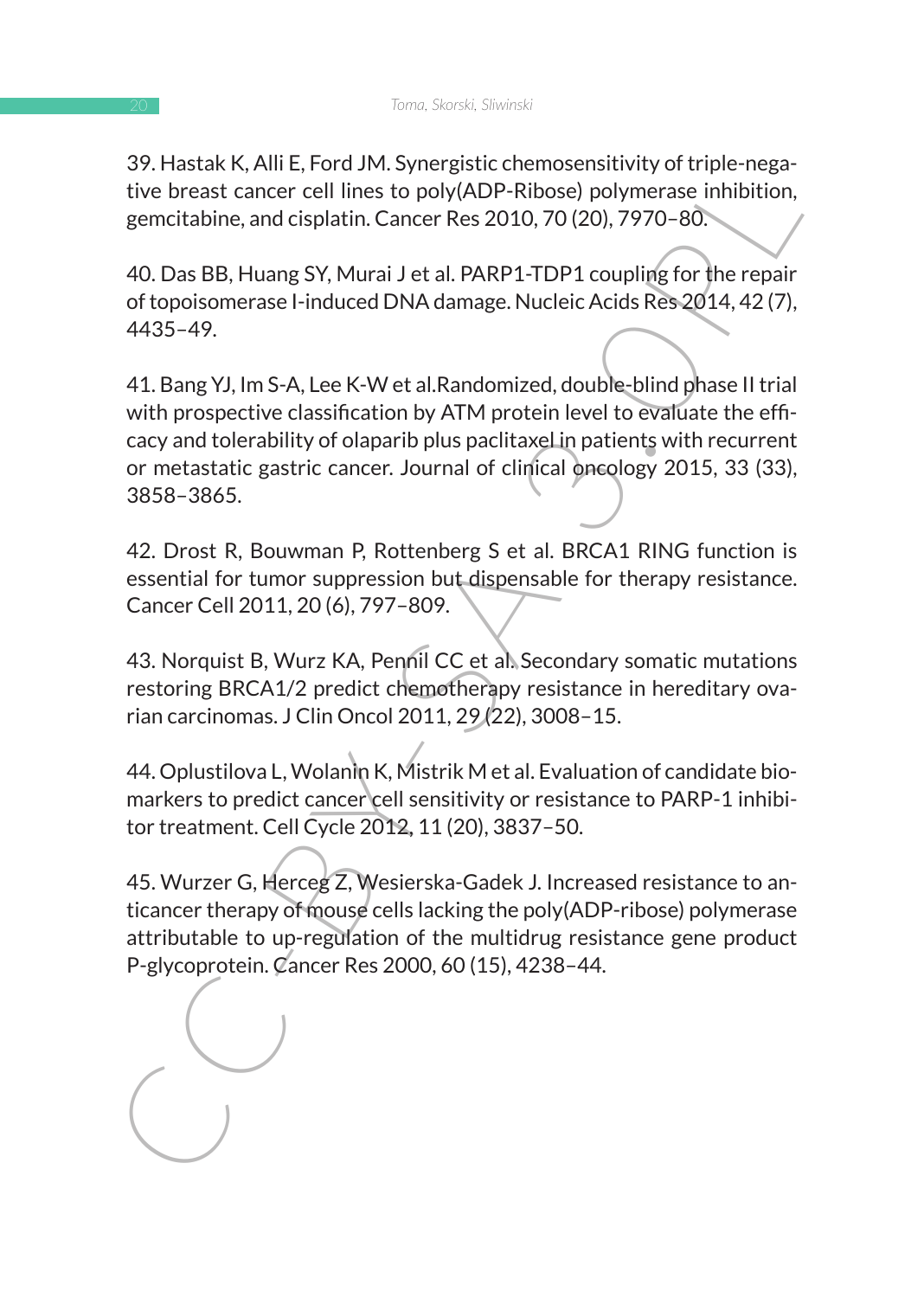39. Hastak K, Alli E, Ford JM. Synergistic chemosensitivity of triple-negative breast cancer cell lines to poly(ADP-Ribose) polymerase inhibition, gemcitabine, and cisplatin. Cancer Res 2010, 70 (20), 7970–80.

40. Das BB, Huang SY, Murai J et al. PARP1-TDP1 coupling for the repair of topoisomerase I-induced DNA damage. Nucleic Acids Res 2014, 42 (7), 4435–49.

37. Haskar K, Airet, Froto Jav., Syret Black Chemiosteristivity of urple-inegativity<br>sive breast cancer cell lines to poly(ADP-Ribose) polymerase infibition,<br>gemcitabine, and cisplatin. Cancer Res 2010, 70 (20), 7970–80.<br>4 41. Bang YJ, Im S-A, Lee K-W et al.Randomized, double-blind phase II trial with prospective classification by ATM protein level to evaluate the efficacy and tolerability of olaparib plus paclitaxel in patients with recurrent or metastatic gastric cancer. Journal of clinical oncology 2015, 33 (33), 3858–3865.

42. Drost R, Bouwman P, Rottenberg S et al. BRCA1 RING function is essential for tumor suppression but dispensable for therapy resistance. Cancer Cell 2011, 20 (6), 797–809.

43. Norquist B, Wurz KA, Pennil CC et al. Secondary somatic mutations restoring BRCA1/2 predict chemotherapy resistance in hereditary ovarian carcinomas. J Clin Oncol 2011, 29 (22), 3008–15.

44. Oplustilova L, Wolanin K, Mistrik M et al. Evaluation of candidate biomarkers to predict cancer cell sensitivity or resistance to PARP-1 inhibitor treatment. Cell Cycle 2012, 11 (20), 3837–50.

45. Wurzer G, Herceg Z, Wesierska-Gadek J. Increased resistance to anticancer therapy of mouse cells lacking the poly(ADP-ribose) polymerase attributable to up-regulation of the multidrug resistance gene product P-glycoprotein. Cancer Res 2000, 60 (15), 4238–44.